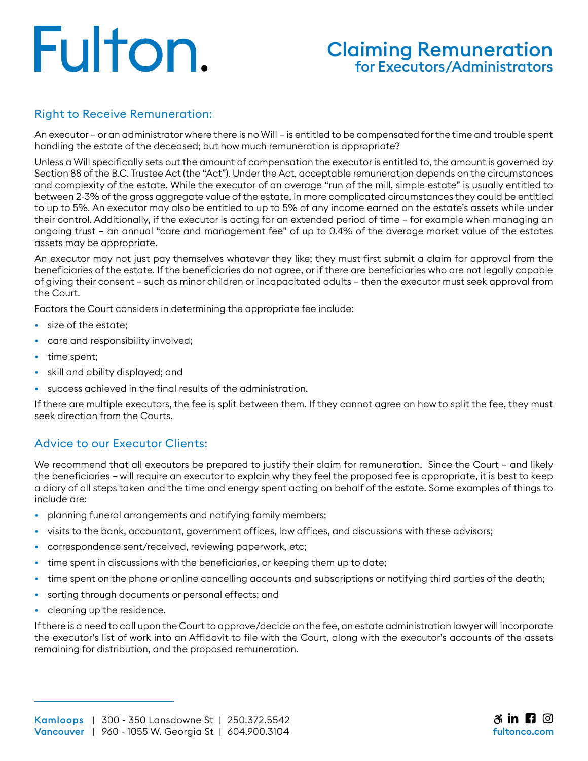# Fulton.

# Claiming Remuneration for Executors/Administrators

### Right to Receive Remuneration:

An executor — or an administrator where there is no Will — is entitled to be compensated for the time and trouble spent handling the estate of the deceased; but how much remuneration is appropriate?

Unless a Will specifically sets out the amount of compensation the executor is entitled to, the amount is governed by Section 88 of the B.C. Trustee Act (the "Act"). Under the Act, acceptable remuneration depends on the circumstances and complexity of the estate. While the executor of an average "run of the mill, simple estate" is usually entitled to between 2-3% of the gross aggregate value of the estate, in more complicated circumstances they could be entitled to up to 5%. An executor may also be entitled to up to 5% of any income earned on the estate's assets while under their control. Additionally, if the executor is acting for an extended period of time — for example when managing an ongoing trust — an annual "care and management fee" of up to 0.4% of the average market value of the estates assets may be appropriate.

An executor may not just pay themselves whatever they like; they must first submit a claim for approval from the beneficiaries of the estate. If the beneficiaries do not agree, or if there are beneficiaries who are not legally capable of giving their consent — such as minor children or incapacitated adults — then the executor must seek approval from the Court.

Factors the Court considers in determining the appropriate fee include:

- size of the estate;
- care and responsibility involved;
- time spent;
- skill and ability displayed; and
- success achieved in the final results of the administration.

If there are multiple executors, the fee is split between them. If they cannot agree on how to split the fee, they must seek direction from the Courts.

#### Advice to our Executor Clients:

We recommend that all executors be prepared to justify their claim for remuneration. Since the Court - and likely the beneficiaries – will require an executor to explain why they feel the proposed fee is appropriate, it is best to keep a diary of all steps taken and the time and energy spent acting on behalf of the estate. Some examples of things to include are:

- planning funeral arrangements and notifying family members;
- visits to the bank, accountant, government offices, law offices, and discussions with these advisors;
- correspondence sent/received, reviewing paperwork, etc;
- time spent in discussions with the beneficiaries, or keeping them up to date;
- time spent on the phone or online cancelling accounts and subscriptions or notifying third parties of the death;
- sorting through documents or personal effects; and
- cleaning up the residence.

If there is a need to call upon the Court to approve/decide on the fee, an estate administration lawyer will incorporate the executor's list of work into an Affidavit to file with the Court, along with the executor's accounts of the assets remaining for distribution, and the proposed remuneration.